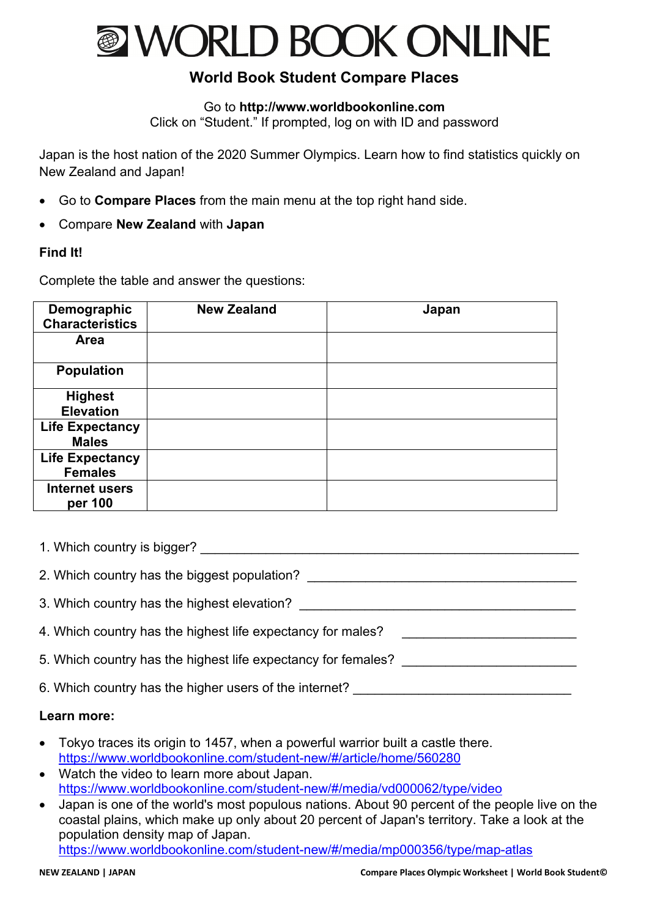

# **World Book Student Compare Places**

## Go to **http://www.worldbookonline.com**

Click on "Student." If prompted, log on with ID and password

Japan is the host nation of the 2020 Summer Olympics. Learn how to find statistics quickly on New Zealand and Japan!

- Go to **Compare Places** from the main menu at the top right hand side.
- Compare **New Zealand** with **Japan**

## **Find It!**

Complete the table and answer the questions:

| Demographic<br><b>Characteristics</b> | <b>New Zealand</b> | Japan |
|---------------------------------------|--------------------|-------|
| Area                                  |                    |       |
| <b>Population</b>                     |                    |       |
| <b>Highest</b>                        |                    |       |
| <b>Elevation</b>                      |                    |       |
| <b>Life Expectancy</b>                |                    |       |
| <b>Males</b>                          |                    |       |
| <b>Life Expectancy</b>                |                    |       |
| <b>Females</b>                        |                    |       |
| <b>Internet users</b>                 |                    |       |
| per 100                               |                    |       |

1. Which country is bigger? The same state of the same state of the same state of the same state of the same state of the same state of the same state of the same state of the same state of the same state of the same state

2. Which country has the biggest population?

3. Which country has the highest elevation?

4. Which country has the highest life expectancy for males?

5. Which country has the highest life expectancy for females?

6. Which country has the higher users of the internet?

#### **Learn more:**

- Tokyo traces its origin to 1457, when a powerful warrior built a castle there. https://www.worldbookonline.com/student-new/#/article/home/560280
- Watch the video to learn more about Japan. https://www.worldbookonline.com/student-new/#/media/vd000062/type/video
- Japan is one of the world's most populous nations. About 90 percent of the people live on the coastal plains, which make up only about 20 percent of Japan's territory. Take a look at the population density map of Japan.

https://www.worldbookonline.com/student-new/#/media/mp000356/type/map-atlas